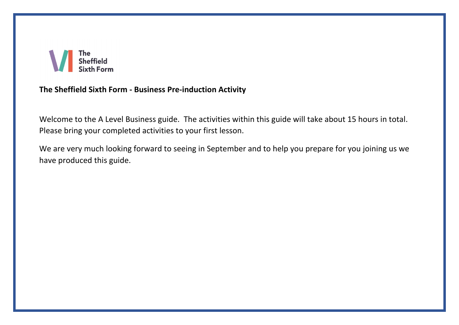

## **The Sheffield Sixth Form - Business Pre-induction Activity**

Welcome to the A Level Business guide. The activities within this guide will take about 15 hours in total. Please bring your completed activities to your first lesson.

We are very much looking forward to seeing in September and to help you prepare for you joining us we have produced this guide.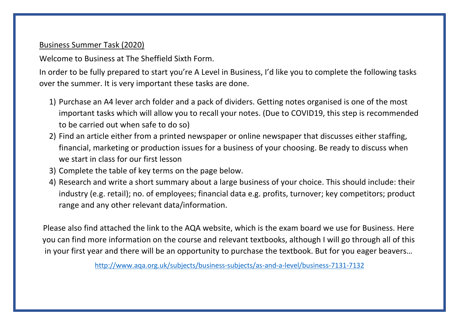## Business Summer Task (2020)

Welcome to Business at The Sheffield Sixth Form.

In order to be fully prepared to start you're A Level in Business, I'd like you to complete the following tasks over the summer. It is very important these tasks are done.

- 1) Purchase an A4 lever arch folder and a pack of dividers. Getting notes organised is one of the most important tasks which will allow you to recall your notes. (Due to COVID19, this step is recommended to be carried out when safe to do so)
- 2) Find an article either from a printed newspaper or online newspaper that discusses either staffing, financial, marketing or production issues for a business of your choosing. Be ready to discuss when we start in class for our first lesson
- 3) Complete the table of key terms on the page below.
- 4) Research and write a short summary about a large business of your choice. This should include: their industry (e.g. retail); no. of employees; financial data e.g. profits, turnover; key competitors; product range and any other relevant data/information.

Please also find attached the link to the AQA website, which is the exam board we use for Business. Here you can find more information on the course and relevant textbooks, although I will go through all of this in your first year and there will be an opportunity to purchase the textbook. But for you eager beavers…

<http://www.aqa.org.uk/subjects/business-subjects/as-and-a-level/business-7131-7132>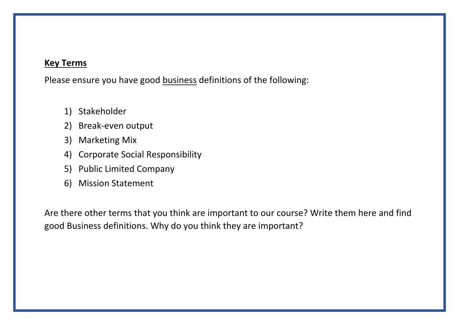## **Key Terms**

Please ensure you have good business definitions of the following:

- 1) Stakeholder
- 2) Break-even output
- 3) Marketing Mix
- 4) Corporate Social Responsibility
- 5) Public Limited Company
- 6) Mission Statement

Are there other terms that you think are important to our course? Write them here and find good Business definitions. Why do you think they are important?